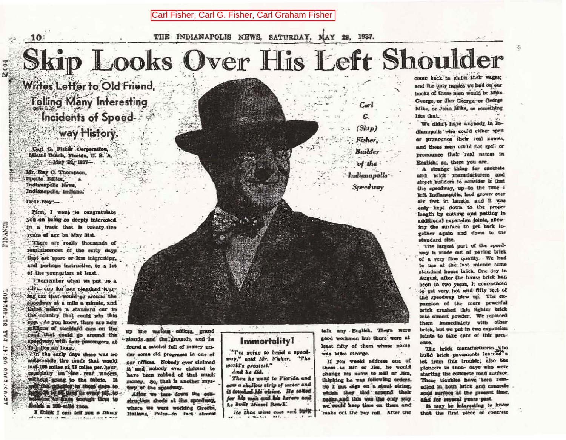Carl Fisher, Carl G. Fisher, Carl Graham Fisher

THE INDIANAPOLIS NEWS, SATURDAY, MAY 29, 1937.

## Skip Looks Over His Left Shoulder

Writes Letter to Old Friend, Telling Many Interesting **Incidents of Speed**way History.

Carl G. Fisher Corporation. Mismi Beach, Flocida, U. S. A. - May 20 1937-

Mr. Ray C. Thompson. Sports Editor. Indianapolis News. Indianapolis, Indiana, Dear Ray:-

**FINANCE** 

3174924501

FAA

15:90

cnnz

/00/7

 $10$ 

First, I want to congratulate you on being so deeply interested in a track that is twenty-five years of age on May 31st. There are really thousands of

reminiscences of the early days that are more or less interesting. and perhaps instructive, to a lot of the voungaters at least.

T remember when we put up a eilver cup for any standard touring car that would go around the speedway at a mile a minute, and there wasn't a standard our in the country that could win this cup. As you know, there are now millions of staridard cars on the road that could go around the speedway, with four passengers, at 75-iniles an hour.

In the early days there was no automethe tire made that would last 100 miles at 75 miles per hour. capecially on the rear wheels, without sping to the fabric. It ven Car Papellos In Good days to.<br>Historical La Gal Lines in County Lab. to:<br>Hellening An Papel Google Lines to finish z 100-milé race.

I think I can tell you a fittiny  $-1$ 



come back to claim their wages: and the only names we had on our baoks of these nien would be Mike George, or Jim George, or George Mike, or John Mike, or something 

We didn't have anybody in Indlanapolis who could either spell or pronounce their real names, and these men could not spell or pronounce their real names in English; so, there you are...

· A strange thing for concrete and brick manufacturers and street builders to consider is that the speedway, up to the time I left Indianapolis, had grown over alx feet in length, and it was enly kept down to the proper length by cutting and putting in additional expansion joints, allowing the surface to get back together again and down to the standard size.

The largest part of the speedway is made out of paying brick of a very fine quality. We had to use at the last minute some standard house brick. One day in August, after the house brick had been in two years, it commenced to get very hot and fifty feet of the speedway blew up. The expansion of the more powerful brick crushed this lighter brick into almost nowder. We replaced them immediately with other brick, but we put in two expansion faints to take care of this pressure.

The hrick manufacturers who build brick pavements learned'a let from this trouble; also the ploneers in those days who were starting the concrete road surface. These troubles have been remedied in both hrick and concrete road mirface at the present time, and for seyeral years past.

It may be interesting to know that the first piece of concrete

## **Immortality!**

"I'm going to build a speedway," eaid Mr. Fisher. "The morld's oreatest."

And he did.

up the various affices, grand

stands and the grounds, and he

found a satchel full of money un-

der some old programs in one of

our offices. Nobody ever claimed

it and nobody ever elaimed to

have been robbed of that much

money. So, that is another mys-

After we tare down the con-

struckion sheds at the speedway,

where we were working Greeks,

Ralians. Poles-in fact almost

lery of the speedway.

Then he went to Florida and saw a shallow strip of water and it touched his vision. He sailed for his men and his herzoe and he built Miami Bench.

He then went cost and built  $\mathbf{r}_i \cdot \mathbf{r}_{i+1} \mathbf{r}_{i+1} = \mathbf{r}_{i+1} \mathbf{r}_{i+1}$ 

talk any English. There were good workmen but there were at least fifty of them whose name was Mike George.

If you would address one of them as Bill or Jim, he would change his name to Bill or Jim. thinking he was following orders. So I put sags on a slout string, with they tied eround their necks and this was the only way. we could keep time on them and make out the pay roll. After the